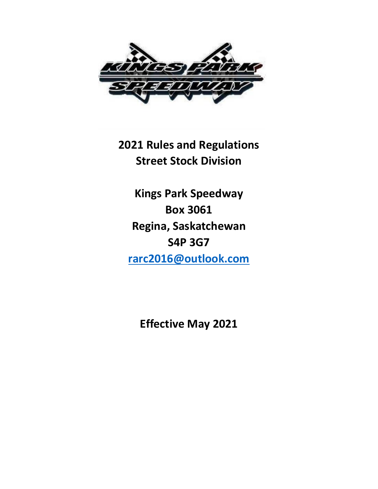

**2021 Rules and Regulations Street Stock Division**

**Kings Park Speedway Box 3061 Regina, Saskatchewan S4P 3G7 [rarc2016@outlook.com](mailto:rarc2016@outlook.com)**

**Effective May 2021**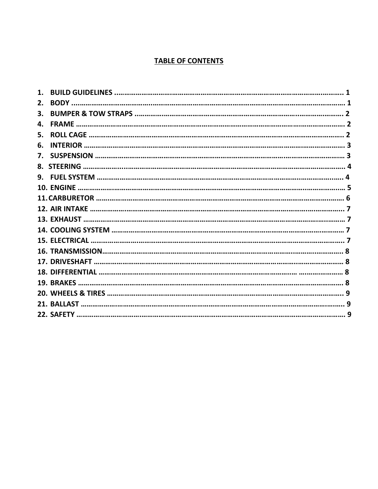# **TABLE OF CONTENTS**

| 2.           |  |
|--------------|--|
| 3.           |  |
| 4.           |  |
| 5.           |  |
| 6.           |  |
| $\mathbf{7}$ |  |
|              |  |
| 9.           |  |
|              |  |
|              |  |
|              |  |
|              |  |
|              |  |
|              |  |
|              |  |
|              |  |
|              |  |
|              |  |
|              |  |
|              |  |
|              |  |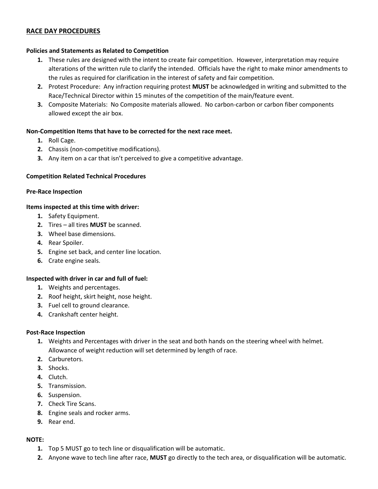#### **RACE DAY PROCEDURES**

#### **Policies and Statements as Related to Competition**

- **1.** These rules are designed with the intent to create fair competition. However, interpretation may require alterations of the written rule to clarify the intended. Officials have the right to make minor amendments to the rules as required for clarification in the interest of safety and fair competition.
- **2.** Protest Procedure: Any infraction requiring protest **MUST** be acknowledged in writing and submitted to the Race/Technical Director within 15 minutes of the competition of the main/feature event.
- **3.** Composite Materials: No Composite materials allowed. No carbon-carbon or carbon fiber components allowed except the air box.

#### **Non-Competition Items that have to be corrected for the next race meet.**

- **1.** Roll Cage.
- **2.** Chassis (non-competitive modifications).
- **3.** Any item on a car that isn't perceived to give a competitive advantage.

#### **Competition Related Technical Procedures**

#### **Pre-Race Inspection**

#### **Items inspected at this time with driver:**

- **1.** Safety Equipment.
- **2.** Tires all tires **MUST** be scanned.
- **3.** Wheel base dimensions.
- **4.** Rear Spoiler.
- **5.** Engine set back, and center line location.
- **6.** Crate engine seals.

#### **Inspected with driver in car and full of fuel:**

- **1.** Weights and percentages.
- **2.** Roof height, skirt height, nose height.
- **3.** Fuel cell to ground clearance.
- **4.** Crankshaft center height.

#### **Post-Race Inspection**

- **1.** Weights and Percentages with driver in the seat and both hands on the steering wheel with helmet. Allowance of weight reduction will set determined by length of race.
- **2.** Carburetors.
- **3.** Shocks.
- **4.** Clutch.
- **5.** Transmission.
- **6.** Suspension.
- **7.** Check Tire Scans.
- **8.** Engine seals and rocker arms.
- **9.** Rear end.

#### **NOTE:**

- **1.** Top 5 MUST go to tech line or disqualification will be automatic.
- **2.** Anyone wave to tech line after race, **MUST** go directly to the tech area, or disqualification will be automatic.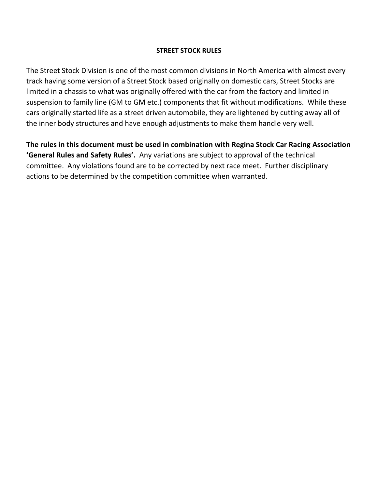### **STREET STOCK RULES**

The Street Stock Division is one of the most common divisions in North America with almost every track having some version of a Street Stock based originally on domestic cars, Street Stocks are limited in a chassis to what was originally offered with the car from the factory and limited in suspension to family line (GM to GM etc.) components that fit without modifications. While these cars originally started life as a street driven automobile, they are lightened by cutting away all of the inner body structures and have enough adjustments to make them handle very well.

**The rules in this document must be used in combination with Regina Stock Car Racing Association 'General Rules and Safety Rules'.** Any variations are subject to approval of the technical committee. Any violations found are to be corrected by next race meet. Further disciplinary actions to be determined by the competition committee when warranted.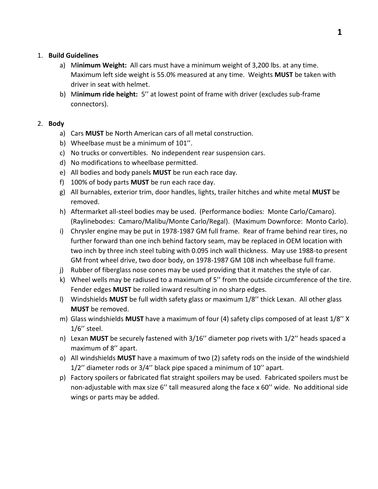### 1. **Build Guidelines**

- a) M**inimum Weight:** All cars must have a minimum weight of 3,200 lbs. at any time. Maximum left side weight is 55.0% measured at any time. Weights **MUST** be taken with driver in seat with helmet.
- b) M**inimum ride height:** 5'' at lowest point of frame with driver (excludes sub-frame connectors).

### 2. **Body**

- a) Cars **MUST** be North American cars of all metal construction.
- b) Wheelbase must be a minimum of 101''.
- c) No trucks or convertibles. No independent rear suspension cars.
- d) No modifications to wheelbase permitted.
- e) All bodies and body panels **MUST** be run each race day.
- f) 100% of body parts **MUST** be run each race day.
- g) All burnables, exterior trim, door handles, lights, trailer hitches and white metal **MUST** be removed.
- h) Aftermarket all-steel bodies may be used. (Performance bodies: Monte Carlo/Camaro). (Raylinebodes: Camaro/Malibu/Monte Carlo/Regal). (Maximum Downforce: Monto Carlo).
- i) Chrysler engine may be put in 1978-1987 GM full frame. Rear of frame behind rear tires, no further forward than one inch behind factory seam, may be replaced in OEM location with two inch by three inch steel tubing with 0.095 inch wall thickness. May use 1988-to present GM front wheel drive, two door body, on 1978-1987 GM 108 inch wheelbase full frame.
- j) Rubber of fiberglass nose cones may be used providing that it matches the style of car.
- k) Wheel wells may be radiused to a maximum of 5'' from the outside circumference of the tire. Fender edges **MUST** be rolled inward resulting in no sharp edges.
- l) Windshields **MUST** be full width safety glass or maximum 1/8'' thick Lexan. All other glass **MUST** be removed.
- m) Glass windshields **MUST** have a maximum of four (4) safety clips composed of at least 1/8'' X 1/6'' steel.
- n) Lexan **MUST** be securely fastened with 3/16'' diameter pop rivets with 1/2'' heads spaced a maximum of 8'' apart.
- o) All windshields **MUST** have a maximum of two (2) safety rods on the inside of the windshield 1/2'' diameter rods or 3/4'' black pipe spaced a minimum of 10'' apart.
- p) Factory spoilers or fabricated flat straight spoilers may be used. Fabricated spoilers must be non-adjustable with max size 6'' tall measured along the face x 60'' wide. No additional side wings or parts may be added.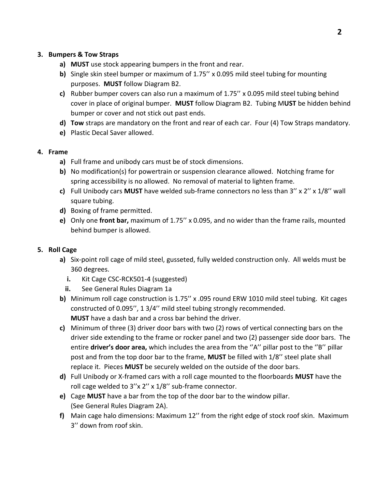# **3. Bumpers & Tow Straps**

- **a) MUST** use stock appearing bumpers in the front and rear.
- **b)** Single skin steel bumper or maximum of 1.75'' x 0.095 mild steel tubing for mounting purposes. **MUST** follow Diagram B2.
- **c)** Rubber bumper covers can also run a maximum of 1.75'' x 0.095 mild steel tubing behind cover in place of original bumper. **MUST** follow Diagram B2. Tubing M**UST** be hidden behind bumper or cover and not stick out past ends.
- **d) Tow** straps are mandatory on the front and rear of each car. Four (4) Tow Straps mandatory.
- **e)** Plastic Decal Saver allowed.

### **4. Frame**

- **a)** Full frame and unibody cars must be of stock dimensions.
- **b)** No modification(s) for powertrain or suspension clearance allowed. Notching frame for spring accessibility is no allowed. No removal of material to lighten frame.
- **c)** Full Unibody cars **MUST** have welded sub-frame connectors no less than 3'' x 2'' x 1/8'' wall square tubing.
- **d)** Boxing of frame permitted.
- **e)** Only one **front bar,** maximum of 1.75'' x 0.095, and no wider than the frame rails, mounted behind bumper is allowed.

## **5. Roll Cage**

- **a)** Six-point roll cage of mild steel, gusseted, fully welded construction only. All welds must be 360 degrees.
	- **i.** Kit Cage CSC-RCK501-4 (suggested)
	- **ii.** See General Rules Diagram 1a
- **b)** Minimum roll cage construction is 1.75'' x .095 round ERW 1010 mild steel tubing. Kit cages constructed of 0.095'', 1 3/4'' mild steel tubing strongly recommended. **MUST** have a dash bar and a cross bar behind the driver.
- **c)** Minimum of three (3) driver door bars with two (2) rows of vertical connecting bars on the driver side extending to the frame or rocker panel and two (2) passenger side door bars. The entire **driver's door area,** which includes the area from the ''A'' pillar post to the ''B'' pillar post and from the top door bar to the frame, **MUST** be filled with 1/8'' steel plate shall replace it. Pieces **MUST** be securely welded on the outside of the door bars.
- **d)** Full Unibody or X-framed cars with a roll cage mounted to the floorboards **MUST** have the roll cage welded to 3''x 2'' x 1/8'' sub-frame connector.
- **e)** Cage **MUST** have a bar from the top of the door bar to the window pillar. (See General Rules Diagram 2A).
- **f)** Main cage halo dimensions: Maximum 12'' from the right edge of stock roof skin. Maximum 3'' down from roof skin.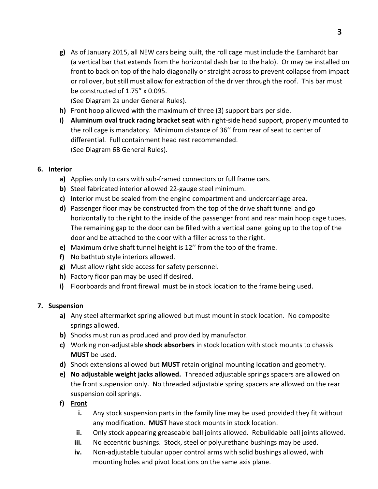**g)** As of January 2015, all NEW cars being built, the roll cage must include the Earnhardt bar (a vertical bar that extends from the horizontal dash bar to the halo). Or may be installed on front to back on top of the halo diagonally or straight across to prevent collapse from impact or rollover, but still must allow for extraction of the driver through the roof. This bar must be constructed of 1.75" x 0.095.

(See Diagram 2a under General Rules).

- **h)** Front hoop allowed with the maximum of three (3) support bars per side.
- **i) Aluminum oval truck racing bracket seat** with right-side head support, properly mounted to the roll cage is mandatory. Minimum distance of 36'' from rear of seat to center of differential. Full containment head rest recommended. (See Diagram 6B General Rules).

# **6. Interior**

- **a)** Applies only to cars with sub-framed connectors or full frame cars.
- **b)** Steel fabricated interior allowed 22-gauge steel minimum.
- **c)** Interior must be sealed from the engine compartment and undercarriage area.
- **d)** Passenger floor may be constructed from the top of the drive shaft tunnel and go horizontally to the right to the inside of the passenger front and rear main hoop cage tubes. The remaining gap to the door can be filled with a vertical panel going up to the top of the door and be attached to the door with a filler across to the right.
- **e)** Maximum drive shaft tunnel height is 12'' from the top of the frame.
- **f)** No bathtub style interiors allowed.
- **g)** Must allow right side access for safety personnel.
- **h)** Factory floor pan may be used if desired.
- **i)** Floorboards and front firewall must be in stock location to the frame being used.

## **7. Suspension**

- **a)** Any steel aftermarket spring allowed but must mount in stock location. No composite springs allowed.
- **b)** Shocks must run as produced and provided by manufactor.
- **c)** Working non-adjustable **shock absorbers** in stock location with stock mounts to chassis **MUST** be used.
- **d)** Shock extensions allowed but **MUST** retain original mounting location and geometry.
- **e) No adjustable weight jacks allowed.** Threaded adjustable springs spacers are allowed on the front suspension only. No threaded adjustable spring spacers are allowed on the rear suspension coil springs.

## **f) Front**

- **i.** Any stock suspension parts in the family line may be used provided they fit without any modification. **MUST** have stock mounts in stock location.
- **ii.** Only stock appearing greaseable ball joints allowed. Rebuildable ball joints allowed.
- **iii.** No eccentric bushings. Stock, steel or polyurethane bushings may be used.
- **iv.** Non-adjustable tubular upper control arms with solid bushings allowed, with mounting holes and pivot locations on the same axis plane.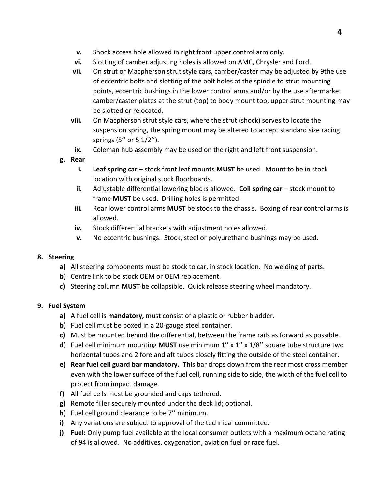- **v.** Shock access hole allowed in right front upper control arm only.
- **vi.** Slotting of camber adjusting holes is allowed on AMC, Chrysler and Ford.
- **vii.** On strut or Macpherson strut style cars, camber/caster may be adjusted by 9the use of eccentric bolts and slotting of the bolt holes at the spindle to strut mounting points, eccentric bushings in the lower control arms and/or by the use aftermarket camber/caster plates at the strut (top) to body mount top, upper strut mounting may be slotted or relocated.
- **viii.** On Macpherson strut style cars, where the strut (shock) serves to locate the suspension spring, the spring mount may be altered to accept standard size racing springs (5'' or 5 1/2'').
- **ix.** Coleman hub assembly may be used on the right and left front suspension.
- **g. Rear**
	- **i.** Leaf spring car stock front leaf mounts MUST be used. Mount to be in stock location with original stock floorboards.
	- **ii.** Adjustable differential lowering blocks allowed. Coil spring car stock mount to frame **MUST** be used. Drilling holes is permitted.
	- **iii.** Rear lower control arms **MUST** be stock to the chassis. Boxing of rear control arms is allowed.
	- **iv.** Stock differential brackets with adjustment holes allowed.
	- **v.** No eccentric bushings. Stock, steel or polyurethane bushings may be used.

## **8. Steering**

- **a)** All steering components must be stock to car, in stock location. No welding of parts.
- **b)** Centre link to be stock OEM or OEM replacement.
- **c)** Steering column **MUST** be collapsible. Quick release steering wheel mandatory.

## **9. Fuel System**

- **a)** A fuel cell is **mandatory,** must consist of a plastic or rubber bladder.
- **b)** Fuel cell must be boxed in a 20-gauge steel container.
- **c)** Must be mounted behind the differential, between the frame rails as forward as possible.
- **d)** Fuel cell minimum mounting **MUST** use minimum 1'' x 1'' x 1/8'' square tube structure two horizontal tubes and 2 fore and aft tubes closely fitting the outside of the steel container.
- **e) Rear fuel cell guard bar mandatory.** This bar drops down from the rear most cross member even with the lower surface of the fuel cell, running side to side, the width of the fuel cell to protect from impact damage.
- **f)** All fuel cells must be grounded and caps tethered.
- **g)** Remote filler securely mounted under the deck lid; optional.
- **h)** Fuel cell ground clearance to be 7'' minimum.
- **i)** Any variations are subject to approval of the technical committee.
- **j) Fuel:** Only pump fuel available at the local consumer outlets with a maximum octane rating of 94 is allowed. No additives, oxygenation, aviation fuel or race fuel.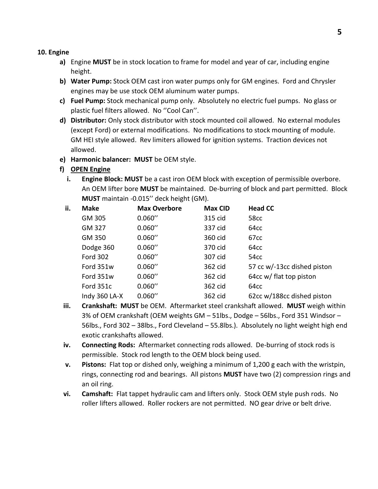#### **10. Engine**

- **a)** Engine **MUST** be in stock location to frame for model and year of car, including engine height.
- **b) Water Pump:** Stock OEM cast iron water pumps only for GM engines. Ford and Chrysler engines may be use stock OEM aluminum water pumps.
- **c) Fuel Pump:** Stock mechanical pump only. Absolutely no electric fuel pumps. No glass or plastic fuel filters allowed. No ''Cool Can''.
- **d) Distributor:** Only stock distributor with stock mounted coil allowed. No external modules (except Ford) or external modifications. No modifications to stock mounting of module. GM HEI style allowed. Rev limiters allowed for ignition systems. Traction devices not allowed.
- **e) Harmonic balancer: MUST** be OEM style.

# **f) OPEN Engine**

**i. Engine Block: MUST** be a cast iron OEM block with exception of permissible overbore. An OEM lifter bore **MUST** be maintained. De-burring of block and part permitted. Block **MUST** maintain -0.015'' deck height (GM).

| ii. | <b>Make</b>     | <b>Max Overbore</b> | <b>Max CID</b> | <b>Head CC</b>              |
|-----|-----------------|---------------------|----------------|-----------------------------|
|     | GM 305          | 0.060''             | 315 cid        | 58cc                        |
|     | GM 327          | 0.060''             | 337 cid        | 64cc                        |
|     | GM 350          | 0.060''             | 360 cid        | 67cc                        |
|     | Dodge 360       | 0.060''             | 370 cid        | 64cc                        |
|     | <b>Ford 302</b> | 0.060''             | 307 cid        | 54cc                        |
|     | Ford 351w       | 0.060''             | 362 cid        | 57 cc w/-13cc dished piston |
|     | Ford 351w       | 0.060''             | 362 cid        | 64cc w/ flat top piston     |
|     | Ford 351c       | 0.060''             | 362 cid        | 64cc                        |
|     | Indy 360 LA-X   | 0.060''             | 362 cid        | 62cc w/188cc dished piston  |

- **iii. Crankshaft: MUST** be OEM. Aftermarket steel crankshaft allowed. **MUST** weigh within 3% of OEM crankshaft (OEM weights GM – 51lbs., Dodge – 56lbs., Ford 351 Windsor – 56lbs., Ford 302 – 38lbs., Ford Cleveland – 55.8lbs.). Absolutely no light weight high end exotic crankshafts allowed.
- **iv. Connecting Rods:** Aftermarket connecting rods allowed. De-burring of stock rods is permissible. Stock rod length to the OEM block being used.
- **v. Pistons:** Flat top or dished only, weighing a minimum of 1,200 g each with the wristpin, rings, connecting rod and bearings. All pistons **MUST** have two (2) compression rings and an oil ring.
- **vi. Camshaft:** Flat tappet hydraulic cam and lifters only. Stock OEM style push rods. No roller lifters allowed. Roller rockers are not permitted. NO gear drive or belt drive.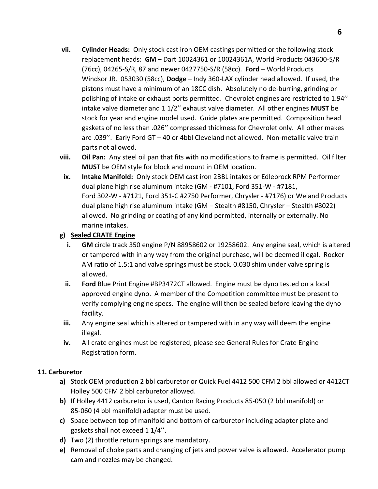- **vii. Cylinder Heads:** Only stock cast iron OEM castings permitted or the following stock replacement heads: **GM** – Dart 10024361 or 10024361A, World Products 043600-S/R (76cc), 04265-S/R, 87 and newer 0427750-S/R (58cc). **Ford** – World Products Windsor JR. 053030 (58cc), **Dodge** – Indy 360-LAX cylinder head allowed. If used, the pistons must have a minimum of an 18CC dish. Absolutely no de-burring, grinding or polishing of intake or exhaust ports permitted. Chevrolet engines are restricted to 1.94'' intake valve diameter and 1 1/2'' exhaust valve diameter. All other engines **MUST** be stock for year and engine model used. Guide plates are permitted. Composition head gaskets of no less than .026'' compressed thickness for Chevrolet only. All other makes are .039''. Early Ford GT – 40 or 4bbl Cleveland not allowed. Non-metallic valve train parts not allowed.
- **viii. Oil Pan:** Any steel oil pan that fits with no modifications to frame is permitted. Oil filter **MUST** be OEM style for block and mount in OEM location.
- **ix. Intake Manifold:** Only stock OEM cast iron 2BBL intakes or Edlebrock RPM Performer dual plane high rise aluminum intake (GM - #7101, Ford 351-W - #7181, Ford 302-W - #7121, Ford 351-C #2750 Performer, Chrysler - #7176) or Weiand Products dual plane high rise aluminum intake (GM – Stealth #8150, Chrysler – Stealth #8022) allowed. No grinding or coating of any kind permitted, internally or externally. No marine intakes.

# **g) Sealed CRATE Engine**

- **i. GM** circle track 350 engine P/N 88958602 or 19258602. Any engine seal, which is altered or tampered with in any way from the original purchase, will be deemed illegal. Rocker AM ratio of 1.5:1 and valve springs must be stock. 0.030 shim under valve spring is allowed.
- **ii. Ford** Blue Print Engine #BP3472CT allowed. Engine must be dyno tested on a local approved engine dyno. A member of the Competition committee must be present to verify complying engine specs. The engine will then be sealed before leaving the dyno facility.
- **iii.** Any engine seal which is altered or tampered with in any way will deem the engine illegal.
- **iv.** All crate engines must be registered; please see General Rules for Crate Engine Registration form.

# **11. Carburetor**

- **a)** Stock OEM production 2 bbl carburetor or Quick Fuel 4412 500 CFM 2 bbl allowed or 4412CT Holley 500 CFM 2 bbl carburetor allowed.
- **b)** If Holley 4412 carburetor is used, Canton Racing Products 85-050 (2 bbl manifold) or 85-060 (4 bbl manifold) adapter must be used.
- **c)** Space between top of manifold and bottom of carburetor including adapter plate and gaskets shall not exceed 1 1/4''.
- **d)** Two (2) throttle return springs are mandatory.
- **e)** Removal of choke parts and changing of jets and power valve is allowed. Accelerator pump cam and nozzles may be changed.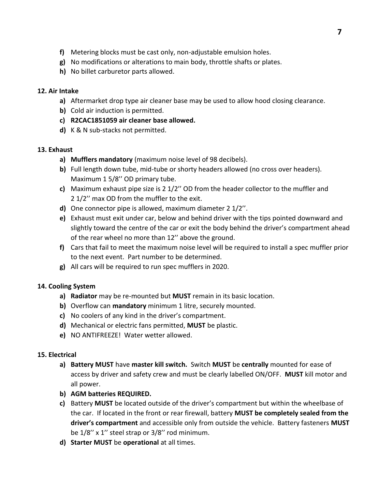- **f)** Metering blocks must be cast only, non-adjustable emulsion holes.
- **g)** No modifications or alterations to main body, throttle shafts or plates.
- **h)** No billet carburetor parts allowed.

# **12. Air Intake**

- **a)** Aftermarket drop type air cleaner base may be used to allow hood closing clearance.
- **b)** Cold air induction is permitted.
- **c) R2CAC1851059 air cleaner base allowed.**
- **d)** K & N sub-stacks not permitted.

# **13. Exhaust**

- **a) Mufflers mandatory** (maximum noise level of 98 decibels).
- **b)** Full length down tube, mid-tube or shorty headers allowed (no cross over headers). Maximum 1 5/8'' OD primary tube.
- **c)** Maximum exhaust pipe size is 2 1/2'' OD from the header collector to the muffler and 2 1/2'' max OD from the muffler to the exit.
- **d)** One connector pipe is allowed, maximum diameter 2 1/2''.
- **e)** Exhaust must exit under car, below and behind driver with the tips pointed downward and slightly toward the centre of the car or exit the body behind the driver's compartment ahead of the rear wheel no more than 12'' above the ground.
- **f)** Cars that fail to meet the maximum noise level will be required to install a spec muffler prior to the next event. Part number to be determined.
- **g)** All cars will be required to run spec mufflers in 2020.

# **14. Cooling System**

- **a) Radiator** may be re-mounted but **MUST** remain in its basic location.
- **b)** Overflow can **mandatory** minimum 1 litre, securely mounted.
- **c)** No coolers of any kind in the driver's compartment.
- **d)** Mechanical or electric fans permitted, **MUST** be plastic.
- **e)** NO ANTIFREEZE! Water wetter allowed.

# **15. Electrical**

- **a) Battery MUST** have **master kill switch.** Switch **MUST** be **centrally** mounted for ease of access by driver and safety crew and must be clearly labelled ON/OFF. **MUST** kill motor and all power.
- **b) AGM batteries REQUIRED.**
- **c)** Battery **MUST** be located outside of the driver's compartment but within the wheelbase of the car. If located in the front or rear firewall, battery **MUST be completely sealed from the driver's compartment** and accessible only from outside the vehicle. Battery fasteners **MUST**  be 1/8'' x 1'' steel strap or 3/8'' rod minimum.
- **d) Starter MUST** be **operational** at all times.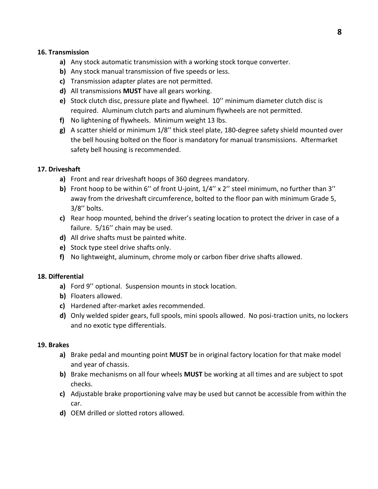### **16. Transmission**

- **a)** Any stock automatic transmission with a working stock torque converter.
- **b)** Any stock manual transmission of five speeds or less.
- **c)** Transmission adapter plates are not permitted.
- **d)** All transmissions **MUST** have all gears working.
- **e)** Stock clutch disc, pressure plate and flywheel. 10'' minimum diameter clutch disc is required. Aluminum clutch parts and aluminum flywheels are not permitted.
- **f)** No lightening of flywheels. Minimum weight 13 lbs.
- **g)** A scatter shield or minimum 1/8'' thick steel plate, 180-degree safety shield mounted over the bell housing bolted on the floor is mandatory for manual transmissions. Aftermarket safety bell housing is recommended.

## **17. Driveshaft**

- **a)** Front and rear driveshaft hoops of 360 degrees mandatory.
- **b)** Front hoop to be within 6'' of front U-joint, 1/4'' x 2'' steel minimum, no further than 3'' away from the driveshaft circumference, bolted to the floor pan with minimum Grade 5, 3/8'' bolts.
- **c)** Rear hoop mounted, behind the driver's seating location to protect the driver in case of a failure. 5/16'' chain may be used.
- **d)** All drive shafts must be painted white.
- **e)** Stock type steel drive shafts only.
- **f)** No lightweight, aluminum, chrome moly or carbon fiber drive shafts allowed.

## **18. Differential**

- **a)** Ford 9'' optional. Suspension mounts in stock location.
- **b)** Floaters allowed.
- **c)** Hardened after-market axles recommended.
- **d)** Only welded spider gears, full spools, mini spools allowed. No posi-traction units, no lockers and no exotic type differentials.

#### **19. Brakes**

- **a)** Brake pedal and mounting point **MUST** be in original factory location for that make model and year of chassis.
- **b)** Brake mechanisms on all four wheels **MUST** be working at all times and are subject to spot checks.
- **c)** Adjustable brake proportioning valve may be used but cannot be accessible from within the car.
- **d)** OEM drilled or slotted rotors allowed.